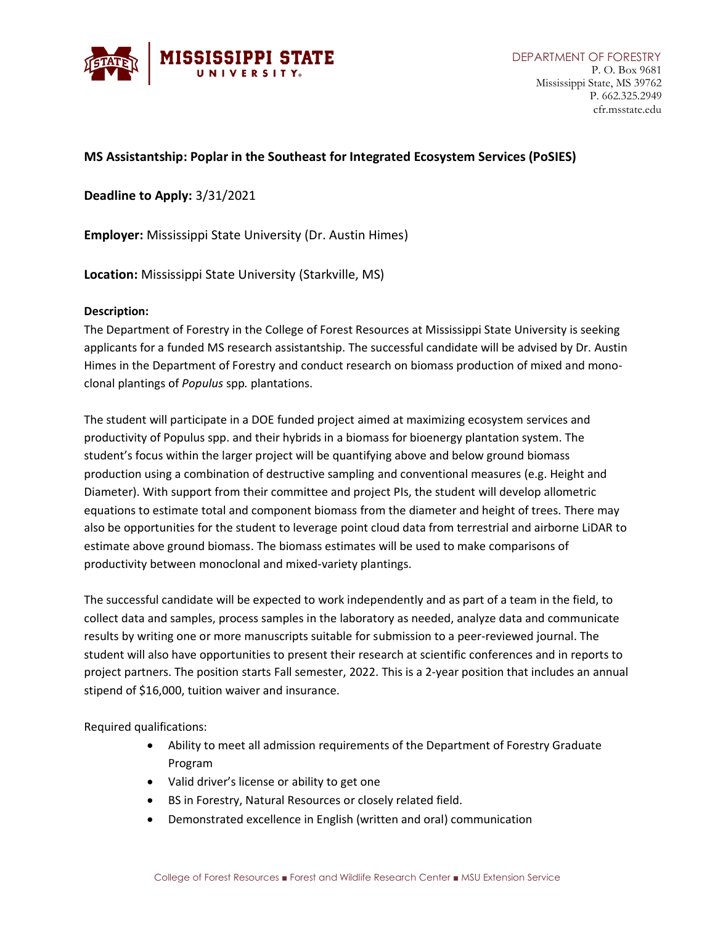

## **MS Assistantship: Poplar in the Southeast for Integrated Ecosystem Services (PoSIES)**

**Deadline to Apply:** 3/31/2021

**Employer:** Mississippi State University (Dr. Austin Himes)

**Location:** Mississippi State University (Starkville, MS)

## **Description:**

The Department of Forestry in the College of Forest Resources at Mississippi State University is seeking applicants for a funded MS research assistantship. The successful candidate will be advised by Dr. Austin Himes in the Department of Forestry and conduct research on biomass production of mixed and monoclonal plantings of *Populus* spp*.* plantations.

The student will participate in a DOE funded project aimed at maximizing ecosystem services and productivity of Populus spp. and their hybrids in a biomass for bioenergy plantation system. The student's focus within the larger project will be quantifying above and below ground biomass production using a combination of destructive sampling and conventional measures (e.g. Height and Diameter). With support from their committee and project PIs, the student will develop allometric equations to estimate total and component biomass from the diameter and height of trees. There may also be opportunities for the student to leverage point cloud data from terrestrial and airborne LiDAR to estimate above ground biomass. The biomass estimates will be used to make comparisons of productivity between monoclonal and mixed-variety plantings.

The successful candidate will be expected to work independently and as part of a team in the field, to collect data and samples, process samples in the laboratory as needed, analyze data and communicate results by writing one or more manuscripts suitable for submission to a peer-reviewed journal. The student will also have opportunities to present their research at scientific conferences and in reports to project partners. The position starts Fall semester, 2022. This is a 2-year position that includes an annual stipend of \$16,000, tuition waiver and insurance.

Required qualifications:

- Ability to meet all admission requirements of the Department of Forestry Graduate Program
- Valid driver's license or ability to get one
- BS in Forestry, Natural Resources or closely related field.
- Demonstrated excellence in English (written and oral) communication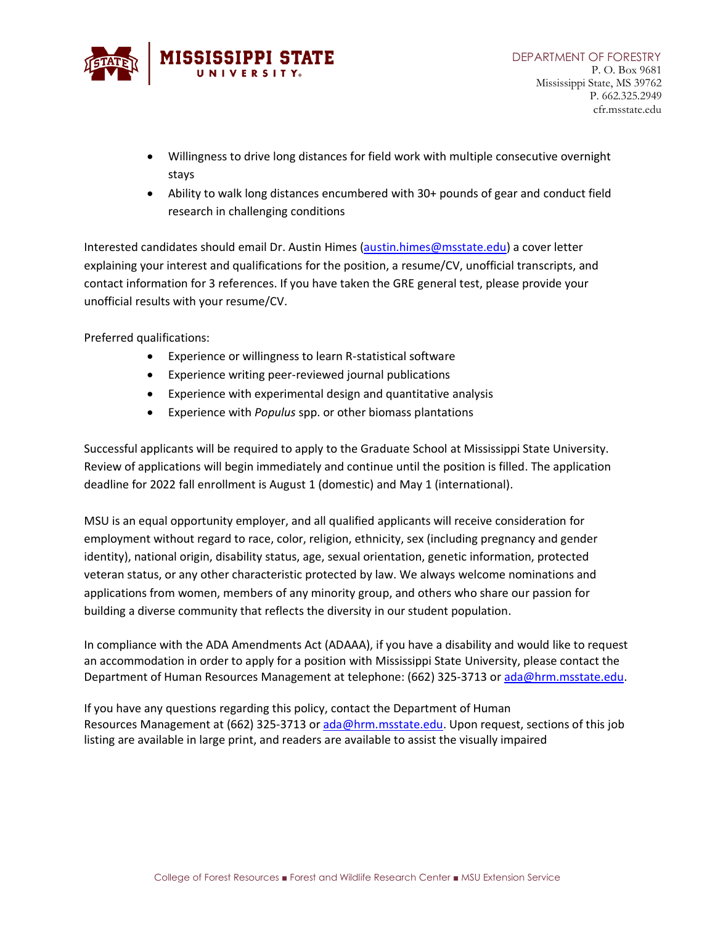

- Willingness to drive long distances for field work with multiple consecutive overnight stays
- Ability to walk long distances encumbered with 30+ pounds of gear and conduct field research in challenging conditions

Interested candidates should email Dr. Austin Himes [\(austin.himes@msstate.edu\)](mailto:austin.himes@msstate.edu) a cover letter explaining your interest and qualifications for the position, a resume/CV, unofficial transcripts, and contact information for 3 references. If you have taken the GRE general test, please provide your unofficial results with your resume/CV.

Preferred qualifications:

- Experience or willingness to learn R-statistical software
- Experience writing peer-reviewed journal publications
- Experience with experimental design and quantitative analysis
- Experience with *Populus* spp. or other biomass plantations

Successful applicants will be required to apply to the Graduate School at Mississippi State University. Review of applications will begin immediately and continue until the position is filled. The application deadline for 2022 fall enrollment is August 1 (domestic) and May 1 (international).

MSU is an equal opportunity employer, and all qualified applicants will receive consideration for employment without regard to race, color, religion, ethnicity, sex (including pregnancy and gender identity), national origin, disability status, age, sexual orientation, genetic information, protected veteran status, or any other characteristic protected by law. We always welcome nominations and applications from women, members of any minority group, and others who share our passion for building a diverse community that reflects the diversity in our student population.

In compliance with the ADA Amendments Act (ADAAA), if you have a disability and would like to request an accommodation in order to apply for a position with Mississippi State University, please contact the Department of Human Resources Management at telephone: (662) 325-3713 or [ada@hrm.msstate.edu.](mailto:employment@hrm.msstate.edu)

If you have any questions regarding this policy, contact the Department of Human Resources Management at (662) 325-3713 or [ada@hrm.msstate.edu.](mailto:employment@hrm.msstate.edu) Upon request, sections of this job listing are available in large print, and readers are available to assist the visually impaired